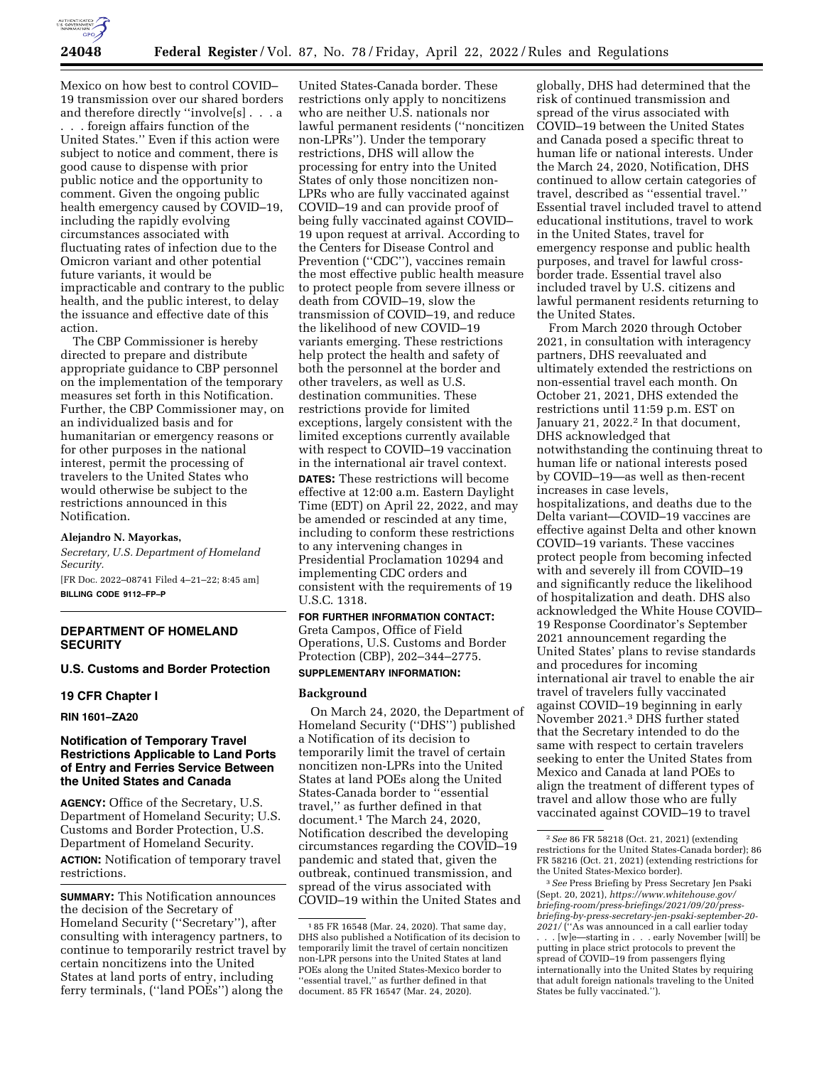

Mexico on how best to control COVID– 19 transmission over our shared borders and therefore directly ''involve[s] . . . a . . . foreign affairs function of the United States.'' Even if this action were subject to notice and comment, there is good cause to dispense with prior public notice and the opportunity to comment. Given the ongoing public health emergency caused by COVID–19, including the rapidly evolving circumstances associated with fluctuating rates of infection due to the Omicron variant and other potential future variants, it would be impracticable and contrary to the public health, and the public interest, to delay the issuance and effective date of this action.

The CBP Commissioner is hereby directed to prepare and distribute appropriate guidance to CBP personnel on the implementation of the temporary measures set forth in this Notification. Further, the CBP Commissioner may, on an individualized basis and for humanitarian or emergency reasons or for other purposes in the national interest, permit the processing of travelers to the United States who would otherwise be subject to the restrictions announced in this Notification.

#### **Alejandro N. Mayorkas,**

*Secretary, U.S. Department of Homeland Security.* 

[FR Doc. 2022–08741 Filed 4–21–22; 8:45 am] **BILLING CODE 9112–FP–P** 

# **DEPARTMENT OF HOMELAND SECURITY**

**U.S. Customs and Border Protection** 

#### **19 CFR Chapter I**

**RIN 1601–ZA20** 

### **Notification of Temporary Travel Restrictions Applicable to Land Ports of Entry and Ferries Service Between the United States and Canada**

**AGENCY:** Office of the Secretary, U.S. Department of Homeland Security; U.S. Customs and Border Protection, U.S. Department of Homeland Security. **ACTION:** Notification of temporary travel restrictions.

**SUMMARY:** This Notification announces the decision of the Secretary of Homeland Security (''Secretary''), after consulting with interagency partners, to continue to temporarily restrict travel by certain noncitizens into the United States at land ports of entry, including ferry terminals, (''land POEs'') along the

United States-Canada border. These restrictions only apply to noncitizens who are neither U.S. nationals nor lawful permanent residents (''noncitizen non-LPRs''). Under the temporary restrictions, DHS will allow the processing for entry into the United States of only those noncitizen non-LPRs who are fully vaccinated against COVID–19 and can provide proof of being fully vaccinated against COVID– 19 upon request at arrival. According to the Centers for Disease Control and Prevention ("CDC"), vaccines remain the most effective public health measure to protect people from severe illness or death from COVID–19, slow the transmission of COVID–19, and reduce the likelihood of new COVID–19 variants emerging. These restrictions help protect the health and safety of both the personnel at the border and other travelers, as well as U.S. destination communities. These restrictions provide for limited exceptions, largely consistent with the limited exceptions currently available with respect to COVID–19 vaccination in the international air travel context.

**DATES:** These restrictions will become effective at 12:00 a.m. Eastern Daylight Time (EDT) on April 22, 2022, and may be amended or rescinded at any time, including to conform these restrictions to any intervening changes in Presidential Proclamation 10294 and implementing CDC orders and consistent with the requirements of 19 U.S.C. 1318.

#### **FOR FURTHER INFORMATION CONTACT:**

Greta Campos, Office of Field Operations, U.S. Customs and Border Protection (CBP), 202–344–2775.

# **SUPPLEMENTARY INFORMATION:**

#### **Background**

On March 24, 2020, the Department of Homeland Security (''DHS'') published a Notification of its decision to temporarily limit the travel of certain noncitizen non-LPRs into the United States at land POEs along the United States-Canada border to ''essential travel,'' as further defined in that document.1 The March 24, 2020, Notification described the developing circumstances regarding the COVID–19 pandemic and stated that, given the outbreak, continued transmission, and spread of the virus associated with COVID–19 within the United States and

globally, DHS had determined that the risk of continued transmission and spread of the virus associated with COVID–19 between the United States and Canada posed a specific threat to human life or national interests. Under the March 24, 2020, Notification, DHS continued to allow certain categories of travel, described as ''essential travel.'' Essential travel included travel to attend educational institutions, travel to work in the United States, travel for emergency response and public health purposes, and travel for lawful crossborder trade. Essential travel also included travel by U.S. citizens and lawful permanent residents returning to the United States.

From March 2020 through October 2021, in consultation with interagency partners, DHS reevaluated and ultimately extended the restrictions on non-essential travel each month. On October 21, 2021, DHS extended the restrictions until 11:59 p.m. EST on January 21, 2022.2 In that document, DHS acknowledged that notwithstanding the continuing threat to human life or national interests posed by COVID–19—as well as then-recent increases in case levels, hospitalizations, and deaths due to the Delta variant—COVID–19 vaccines are effective against Delta and other known COVID–19 variants. These vaccines protect people from becoming infected with and severely ill from COVID–19 and significantly reduce the likelihood of hospitalization and death. DHS also acknowledged the White House COVID– 19 Response Coordinator's September 2021 announcement regarding the United States' plans to revise standards and procedures for incoming international air travel to enable the air travel of travelers fully vaccinated against COVID–19 beginning in early November 2021.3 DHS further stated that the Secretary intended to do the same with respect to certain travelers seeking to enter the United States from Mexico and Canada at land POEs to align the treatment of different types of travel and allow those who are fully vaccinated against COVID–19 to travel

<sup>1</sup> 85 FR 16548 (Mar. 24, 2020). That same day, DHS also published a Notification of its decision to temporarily limit the travel of certain noncitizen non-LPR persons into the United States at land POEs along the United States-Mexico border to 'essential travel," as further defined in that document. 85 FR 16547 (Mar. 24, 2020).

<sup>2</sup>*See* 86 FR 58218 (Oct. 21, 2021) (extending restrictions for the United States-Canada border); 86 FR 58216 (Oct. 21, 2021) (extending restrictions for the United States-Mexico border).

<sup>3</sup>*See* Press Briefing by Press Secretary Jen Psaki (Sept. 20, 2021), *[https://www.whitehouse.gov/](https://www.whitehouse.gov/briefing-room/press-briefings/2021/09/20/press-briefing-by-press-secretary-jen-psaki-september-20-2021/) [briefing-room/press-briefings/2021/09/20/press](https://www.whitehouse.gov/briefing-room/press-briefings/2021/09/20/press-briefing-by-press-secretary-jen-psaki-september-20-2021/)[briefing-by-press-secretary-jen-psaki-september-20-](https://www.whitehouse.gov/briefing-room/press-briefings/2021/09/20/press-briefing-by-press-secretary-jen-psaki-september-20-2021/) [2021/](https://www.whitehouse.gov/briefing-room/press-briefings/2021/09/20/press-briefing-by-press-secretary-jen-psaki-september-20-2021/)* (''As was announced in a call earlier today . . [w]e—starting in . . . early November [will] be

putting in place strict protocols to prevent the spread of COVID–19 from passengers flying internationally into the United States by requiring that adult foreign nationals traveling to the United States be fully vaccinated.'').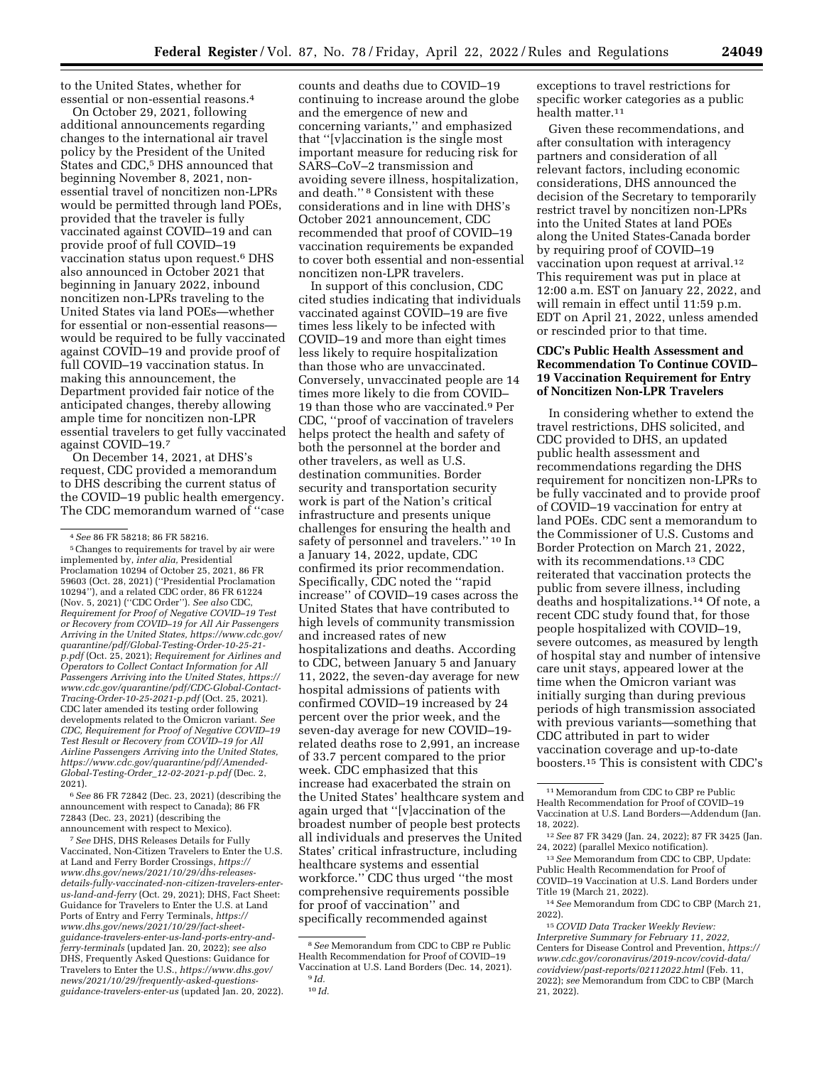to the United States, whether for essential or non-essential reasons.4

On October 29, 2021, following additional announcements regarding changes to the international air travel policy by the President of the United States and CDC,<sup>5</sup> DHS announced that beginning November 8, 2021, nonessential travel of noncitizen non-LPRs would be permitted through land POEs, provided that the traveler is fully vaccinated against COVID–19 and can provide proof of full COVID–19 vaccination status upon request.6 DHS also announced in October 2021 that beginning in January 2022, inbound noncitizen non-LPRs traveling to the United States via land POEs—whether for essential or non-essential reasons would be required to be fully vaccinated against COVID–19 and provide proof of full COVID–19 vaccination status. In making this announcement, the Department provided fair notice of the anticipated changes, thereby allowing ample time for noncitizen non-LPR essential travelers to get fully vaccinated against COVID–19.7

On December 14, 2021, at DHS's request, CDC provided a memorandum to DHS describing the current status of the COVID–19 public health emergency. The CDC memorandum warned of ''case

4*See* 86 FR 58218; 86 FR 58216.

6*See* 86 FR 72842 (Dec. 23, 2021) (describing the announcement with respect to Canada); 86 FR 72843 (Dec. 23, 2021) (describing the announcement with respect to Mexico).

7*See* DHS, DHS Releases Details for Fully Vaccinated, Non-Citizen Travelers to Enter the U.S. at Land and Ferry Border Crossings, *[https://](https://www.dhs.gov/news/2021/10/29/dhs-releases-details-fully-vaccinated-non-citizen-travelers-enter-us-land-and-ferry) [www.dhs.gov/news/2021/10/29/dhs-releases](https://www.dhs.gov/news/2021/10/29/dhs-releases-details-fully-vaccinated-non-citizen-travelers-enter-us-land-and-ferry)[details-fully-vaccinated-non-citizen-travelers-enter](https://www.dhs.gov/news/2021/10/29/dhs-releases-details-fully-vaccinated-non-citizen-travelers-enter-us-land-and-ferry)[us-land-and-ferry](https://www.dhs.gov/news/2021/10/29/dhs-releases-details-fully-vaccinated-non-citizen-travelers-enter-us-land-and-ferry)* (Oct. 29, 2021); DHS, Fact Sheet: Guidance for Travelers to Enter the U.S. at Land Ports of Entry and Ferry Terminals, *[https://](https://www.dhs.gov/news/2021/10/29/fact-sheet-guidance-travelers-enter-us-land-ports-entry-and-ferry-terminals) [www.dhs.gov/news/2021/10/29/fact-sheet](https://www.dhs.gov/news/2021/10/29/fact-sheet-guidance-travelers-enter-us-land-ports-entry-and-ferry-terminals)[guidance-travelers-enter-us-land-ports-entry-and](https://www.dhs.gov/news/2021/10/29/fact-sheet-guidance-travelers-enter-us-land-ports-entry-and-ferry-terminals)[ferry-terminals](https://www.dhs.gov/news/2021/10/29/fact-sheet-guidance-travelers-enter-us-land-ports-entry-and-ferry-terminals)* (updated Jan. 20, 2022); *see also*  DHS, Frequently Asked Questions: Guidance for Travelers to Enter the U.S., *[https://www.dhs.gov/](https://www.dhs.gov/news/2021/10/29/frequently-asked-questions-guidance-travelers-enter-us)  [news/2021/10/29/frequently-asked-questions](https://www.dhs.gov/news/2021/10/29/frequently-asked-questions-guidance-travelers-enter-us)[guidance-travelers-enter-us](https://www.dhs.gov/news/2021/10/29/frequently-asked-questions-guidance-travelers-enter-us)* (updated Jan. 20, 2022).

counts and deaths due to COVID–19 continuing to increase around the globe and the emergence of new and concerning variants,'' and emphasized that ''[v]accination is the single most important measure for reducing risk for SARS–CoV–2 transmission and avoiding severe illness, hospitalization, and death.'' 8 Consistent with these considerations and in line with DHS's October 2021 announcement, CDC recommended that proof of COVID–19 vaccination requirements be expanded to cover both essential and non-essential noncitizen non-LPR travelers.

In support of this conclusion, CDC cited studies indicating that individuals vaccinated against COVID–19 are five times less likely to be infected with COVID–19 and more than eight times less likely to require hospitalization than those who are unvaccinated. Conversely, unvaccinated people are 14 times more likely to die from COVID– 19 than those who are vaccinated.9 Per CDC, ''proof of vaccination of travelers helps protect the health and safety of both the personnel at the border and other travelers, as well as U.S. destination communities. Border security and transportation security work is part of the Nation's critical infrastructure and presents unique challenges for ensuring the health and safety of personnel and travelers.'' 10 In a January 14, 2022, update, CDC confirmed its prior recommendation. Specifically, CDC noted the ''rapid increase'' of COVID–19 cases across the United States that have contributed to high levels of community transmission and increased rates of new hospitalizations and deaths. According to CDC, between January 5 and January 11, 2022, the seven-day average for new hospital admissions of patients with confirmed COVID–19 increased by 24 percent over the prior week, and the seven-day average for new COVID–19 related deaths rose to 2,991, an increase of 33.7 percent compared to the prior week. CDC emphasized that this increase had exacerbated the strain on the United States' healthcare system and again urged that ''[v]accination of the broadest number of people best protects all individuals and preserves the United States' critical infrastructure, including healthcare systems and essential workforce.'' CDC thus urged ''the most comprehensive requirements possible for proof of vaccination'' and specifically recommended against

exceptions to travel restrictions for specific worker categories as a public health matter.11

Given these recommendations, and after consultation with interagency partners and consideration of all relevant factors, including economic considerations, DHS announced the decision of the Secretary to temporarily restrict travel by noncitizen non-LPRs into the United States at land POEs along the United States-Canada border by requiring proof of COVID–19 vaccination upon request at arrival.12 This requirement was put in place at 12:00 a.m. EST on January 22, 2022, and will remain in effect until 11:59 p.m. EDT on April 21, 2022, unless amended or rescinded prior to that time.

# **CDC's Public Health Assessment and Recommendation To Continue COVID– 19 Vaccination Requirement for Entry of Noncitizen Non-LPR Travelers**

In considering whether to extend the travel restrictions, DHS solicited, and CDC provided to DHS, an updated public health assessment and recommendations regarding the DHS requirement for noncitizen non-LPRs to be fully vaccinated and to provide proof of COVID–19 vaccination for entry at land POEs. CDC sent a memorandum to the Commissioner of U.S. Customs and Border Protection on March 21, 2022, with its recommendations.<sup>13</sup> CDC reiterated that vaccination protects the public from severe illness, including deaths and hospitalizations.14 Of note, a recent CDC study found that, for those people hospitalized with COVID–19, severe outcomes, as measured by length of hospital stay and number of intensive care unit stays, appeared lower at the time when the Omicron variant was initially surging than during previous periods of high transmission associated with previous variants—something that CDC attributed in part to wider vaccination coverage and up-to-date boosters.15 This is consistent with CDC's

<sup>5</sup>Changes to requirements for travel by air were implemented by, *inter alia,* Presidential Proclamation 10294 of October 25, 2021, 86 FR 59603 (Oct. 28, 2021) (''Presidential Proclamation 10294''), and a related CDC order, 86 FR 61224 (Nov. 5, 2021) (''CDC Order''). *See also* CDC, *Requirement for Proof of Negative COVID–19 Test or Recovery from COVID–19 for All Air Passengers Arriving in the United States, [https://www.cdc.gov/](https://www.cdc.gov/quarantine/pdf/Global-Testing-Order-10-25-21-p.pdf)  [quarantine/pdf/Global-Testing-Order-10-25-21](https://www.cdc.gov/quarantine/pdf/Global-Testing-Order-10-25-21-p.pdf) [p.pdf](https://www.cdc.gov/quarantine/pdf/Global-Testing-Order-10-25-21-p.pdf)* (Oct. 25, 2021); *Requirement for Airlines and Operators to Collect Contact Information for All Passengers Arriving into the United States, [https://](https://www.cdc.gov/quarantine/pdf/CDC-Global-Contact-Tracing-Order-10-25-2021-p.pdf) [www.cdc.gov/quarantine/pdf/CDC-Global-Contact-](https://www.cdc.gov/quarantine/pdf/CDC-Global-Contact-Tracing-Order-10-25-2021-p.pdf)[Tracing-Order-10-25-2021-p.pdf](https://www.cdc.gov/quarantine/pdf/CDC-Global-Contact-Tracing-Order-10-25-2021-p.pdf)* (Oct. 25, 2021). CDC later amended its testing order following developments related to the Omicron variant. *See CDC, Requirement for Proof of Negative COVID–19 Test Result or Recovery from COVID–19 for All Airline Passengers Arriving into the United States, [https://www.cdc.gov/quarantine/pdf/Amended-](https://www.cdc.gov/quarantine/pdf/Amended-Global-Testing-Order_12-02-2021-p.pdf)[Global-Testing-Order](https://www.cdc.gov/quarantine/pdf/Amended-Global-Testing-Order_12-02-2021-p.pdf)*\_*12-02-2021-p.pdf* (Dec. 2, 2021).

<sup>8</sup>*See* Memorandum from CDC to CBP re Public Health Recommendation for Proof of COVID–19 Vaccination at U.S. Land Borders (Dec. 14, 2021). 9 *Id.* 

<sup>10</sup> *Id.* 

<sup>11</sup>Memorandum from CDC to CBP re Public Health Recommendation for Proof of COVID–19 Vaccination at U.S. Land Borders—Addendum (Jan. 18, 2022).

<sup>12</sup>*See* 87 FR 3429 (Jan. 24, 2022); 87 FR 3425 (Jan. 24, 2022) (parallel Mexico notification).

<sup>13</sup>*See* Memorandum from CDC to CBP, Update: Public Health Recommendation for Proof of COVID–19 Vaccination at U.S. Land Borders under Title 19 (March 21, 2022).

<sup>14</sup>*See* Memorandum from CDC to CBP (March 21, 2022).

<sup>15</sup>*COVID Data Tracker Weekly Review: Interpretive Summary for February 11, 2022,*  Centers for Disease Control and Prevention, *[https://](https://www.cdc.gov/coronavirus/2019-ncov/covid-data/covidview/past-reports/02112022.html)  [www.cdc.gov/coronavirus/2019-ncov/covid-data/](https://www.cdc.gov/coronavirus/2019-ncov/covid-data/covidview/past-reports/02112022.html)  [covidview/past-reports/02112022.html](https://www.cdc.gov/coronavirus/2019-ncov/covid-data/covidview/past-reports/02112022.html)* (Feb. 11, 2022); *see* Memorandum from CDC to CBP (March 21, 2022).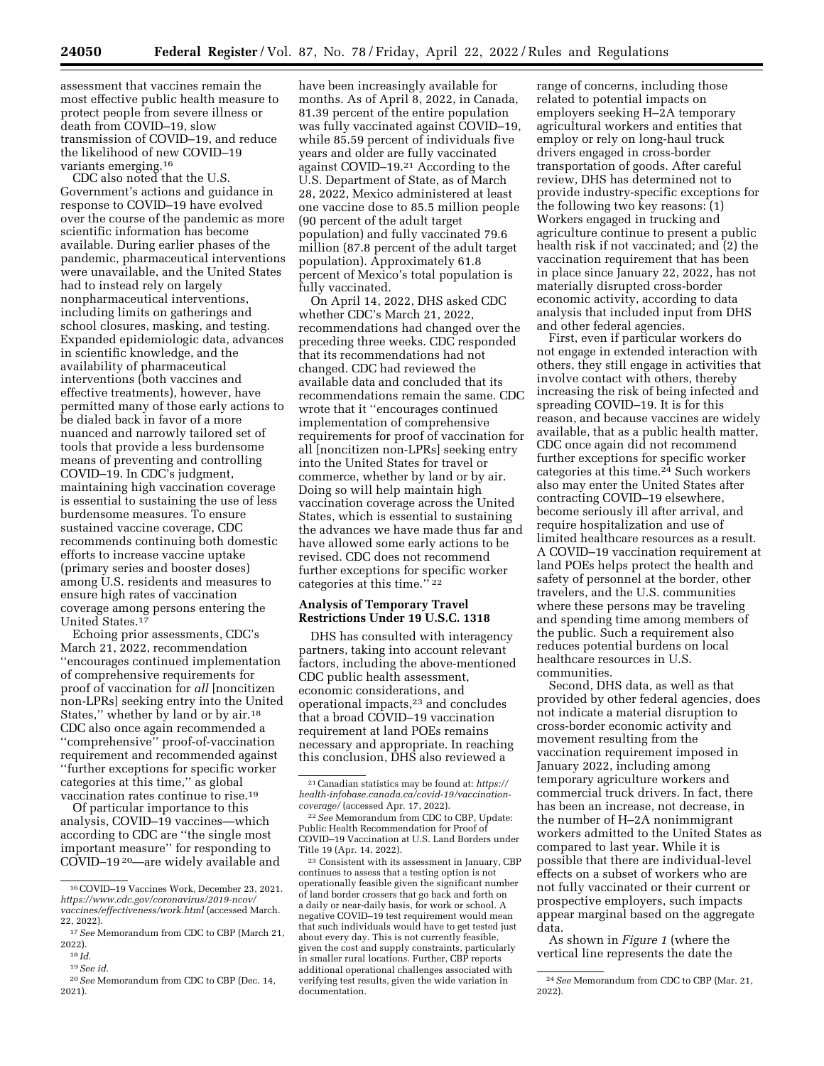assessment that vaccines remain the most effective public health measure to protect people from severe illness or death from COVID–19, slow transmission of COVID–19, and reduce the likelihood of new COVID–19 variants emerging.16

CDC also noted that the U.S. Government's actions and guidance in response to COVID–19 have evolved over the course of the pandemic as more scientific information has become available. During earlier phases of the pandemic, pharmaceutical interventions were unavailable, and the United States had to instead rely on largely nonpharmaceutical interventions, including limits on gatherings and school closures, masking, and testing. Expanded epidemiologic data, advances in scientific knowledge, and the availability of pharmaceutical interventions (both vaccines and effective treatments), however, have permitted many of those early actions to be dialed back in favor of a more nuanced and narrowly tailored set of tools that provide a less burdensome means of preventing and controlling COVID–19. In CDC's judgment, maintaining high vaccination coverage is essential to sustaining the use of less burdensome measures. To ensure sustained vaccine coverage, CDC recommends continuing both domestic efforts to increase vaccine uptake (primary series and booster doses) among U.S. residents and measures to ensure high rates of vaccination coverage among persons entering the United States.17

Echoing prior assessments, CDC's March 21, 2022, recommendation ''encourages continued implementation of comprehensive requirements for proof of vaccination for *all* [noncitizen non-LPRs] seeking entry into the United States," whether by land or by air.<sup>18</sup> CDC also once again recommended a ''comprehensive'' proof-of-vaccination requirement and recommended against ''further exceptions for specific worker categories at this time,'' as global vaccination rates continue to rise.19

Of particular importance to this analysis, COVID–19 vaccines—which according to CDC are ''the single most important measure'' for responding to COVID–19 20—are widely available and

have been increasingly available for months. As of April 8, 2022, in Canada, 81.39 percent of the entire population was fully vaccinated against COVID–19, while 85.59 percent of individuals five years and older are fully vaccinated against COVID–19.21 According to the U.S. Department of State, as of March 28, 2022, Mexico administered at least one vaccine dose to 85.5 million people (90 percent of the adult target population) and fully vaccinated 79.6 million (87.8 percent of the adult target population). Approximately 61.8 percent of Mexico's total population is fully vaccinated.

On April 14, 2022, DHS asked CDC whether CDC's March 21, 2022, recommendations had changed over the preceding three weeks. CDC responded that its recommendations had not changed. CDC had reviewed the available data and concluded that its recommendations remain the same. CDC wrote that it ''encourages continued implementation of comprehensive requirements for proof of vaccination for all [noncitizen non-LPRs] seeking entry into the United States for travel or commerce, whether by land or by air. Doing so will help maintain high vaccination coverage across the United States, which is essential to sustaining the advances we have made thus far and have allowed some early actions to be revised. CDC does not recommend further exceptions for specific worker categories at this time.'' 22

#### **Analysis of Temporary Travel Restrictions Under 19 U.S.C. 1318**

DHS has consulted with interagency partners, taking into account relevant factors, including the above-mentioned CDC public health assessment, economic considerations, and operational impacts,23 and concludes that a broad COVID–19 vaccination requirement at land POEs remains necessary and appropriate. In reaching this conclusion, DHS also reviewed a

23 Consistent with its assessment in January, CBP continues to assess that a testing option is not operationally feasible given the significant number of land border crossers that go back and forth on a daily or near-daily basis, for work or school. A negative COVID–19 test requirement would mean that such individuals would have to get tested just about every day. This is not currently feasible, given the cost and supply constraints, particularly in smaller rural locations. Further, CBP reports additional operational challenges associated with verifying test results, given the wide variation in documentation.

range of concerns, including those related to potential impacts on employers seeking H–2A temporary agricultural workers and entities that employ or rely on long-haul truck drivers engaged in cross-border transportation of goods. After careful review, DHS has determined not to provide industry-specific exceptions for the following two key reasons: (1) Workers engaged in trucking and agriculture continue to present a public health risk if not vaccinated; and (2) the vaccination requirement that has been in place since January 22, 2022, has not materially disrupted cross-border economic activity, according to data analysis that included input from DHS and other federal agencies.

First, even if particular workers do not engage in extended interaction with others, they still engage in activities that involve contact with others, thereby increasing the risk of being infected and spreading COVID–19. It is for this reason, and because vaccines are widely available, that as a public health matter, CDC once again did not recommend further exceptions for specific worker categories at this time.24 Such workers also may enter the United States after contracting COVID–19 elsewhere, become seriously ill after arrival, and require hospitalization and use of limited healthcare resources as a result. A COVID–19 vaccination requirement at land POEs helps protect the health and safety of personnel at the border, other travelers, and the U.S. communities where these persons may be traveling and spending time among members of the public. Such a requirement also reduces potential burdens on local healthcare resources in U.S. communities.

Second, DHS data, as well as that provided by other federal agencies, does not indicate a material disruption to cross-border economic activity and movement resulting from the vaccination requirement imposed in January 2022, including among temporary agriculture workers and commercial truck drivers. In fact, there has been an increase, not decrease, in the number of H–2A nonimmigrant workers admitted to the United States as compared to last year. While it is possible that there are individual-level effects on a subset of workers who are not fully vaccinated or their current or prospective employers, such impacts appear marginal based on the aggregate data.

As shown in *Figure 1* (where the vertical line represents the date the

<sup>16</sup>COVID–19 Vaccines Work, December 23, 2021. *[https://www.cdc.gov/coronavirus/2019-ncov/](https://www.cdc.gov/coronavirus/2019-ncov/vaccines/effectiveness/work.html) [vaccines/effectiveness/work.html](https://www.cdc.gov/coronavirus/2019-ncov/vaccines/effectiveness/work.html)* (accessed March. 22, 2022).

<sup>17</sup>*See* Memorandum from CDC to CBP (March 21, 2022).

<sup>18</sup> *Id.* 

<sup>19</sup>*See id.* 

<sup>20</sup>*See* Memorandum from CDC to CBP (Dec. 14, 2021).

<sup>21</sup>Canadian statistics may be found at: *[https://](https://health-infobase.canada.ca/covid-19/vaccination-coverage/) [health-infobase.canada.ca/covid-19/vaccination](https://health-infobase.canada.ca/covid-19/vaccination-coverage/)[coverage/](https://health-infobase.canada.ca/covid-19/vaccination-coverage/)* (accessed Apr. 17, 2022).

<sup>22</sup>*See* Memorandum from CDC to CBP, Update: Public Health Recommendation for Proof of COVID–19 Vaccination at U.S. Land Borders under Title 19 (Apr. 14, 2022).

<sup>24</sup>*See* Memorandum from CDC to CBP (Mar. 21, 2022).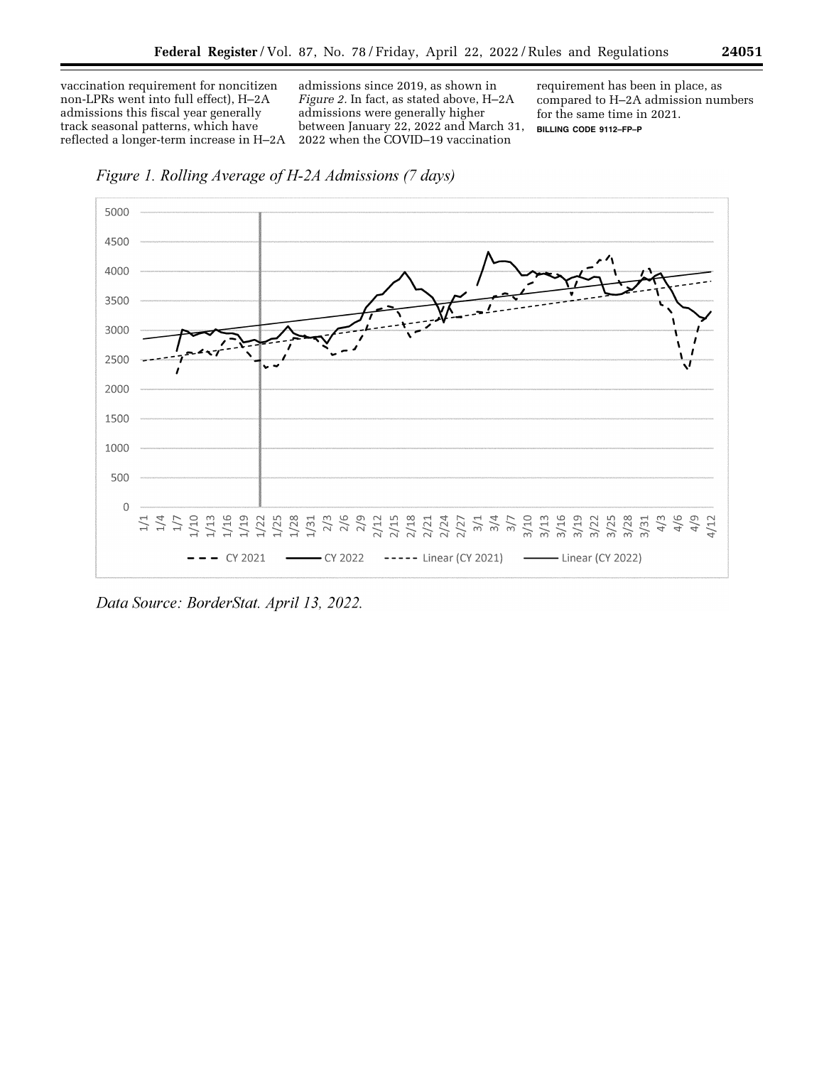vaccination requirement for noncitizen non-LPRs went into full effect), H–2A admissions this fiscal year generally track seasonal patterns, which have reflected a longer-term increase in H–2A

admissions since 2019, as shown in *Figure 2.* In fact, as stated above, H–2A admissions were generally higher between January 22, 2022 and March 31, 2022 when the COVID–19 vaccination

requirement has been in place, as compared to H–2A admission numbers for the same time in 2021. **BILLING CODE 9112–FP–P** 



*Figure 1. Rolling Average of H-2A Admissions (7 days)* 

*Data Source: BorderStat. April 13, 2022.*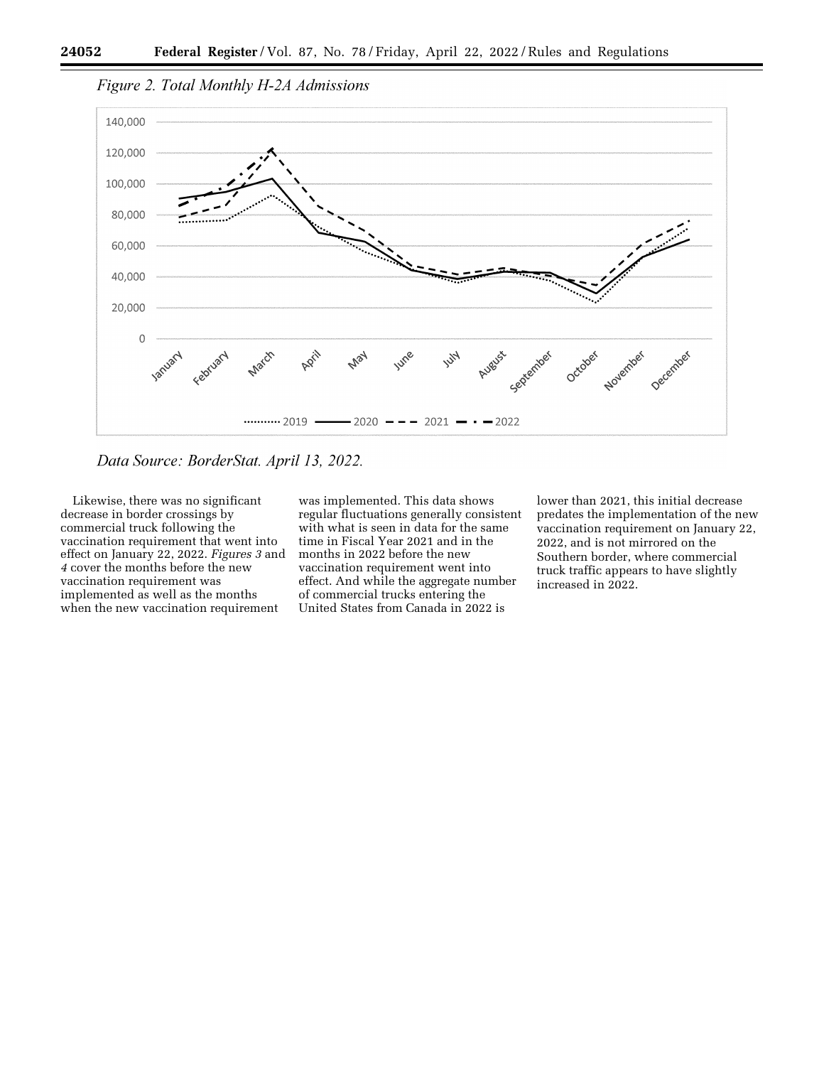



*Data Source: BorderStat. April 13, 2022.* 

Likewise, there was no significant decrease in border crossings by commercial truck following the vaccination requirement that went into effect on January 22, 2022. *Figures 3* and *4* cover the months before the new vaccination requirement was implemented as well as the months when the new vaccination requirement

was implemented. This data shows regular fluctuations generally consistent with what is seen in data for the same time in Fiscal Year 2021 and in the months in 2022 before the new vaccination requirement went into effect. And while the aggregate number of commercial trucks entering the United States from Canada in 2022 is

lower than 2021, this initial decrease predates the implementation of the new vaccination requirement on January 22, 2022, and is not mirrored on the Southern border, where commercial truck traffic appears to have slightly increased in 2022.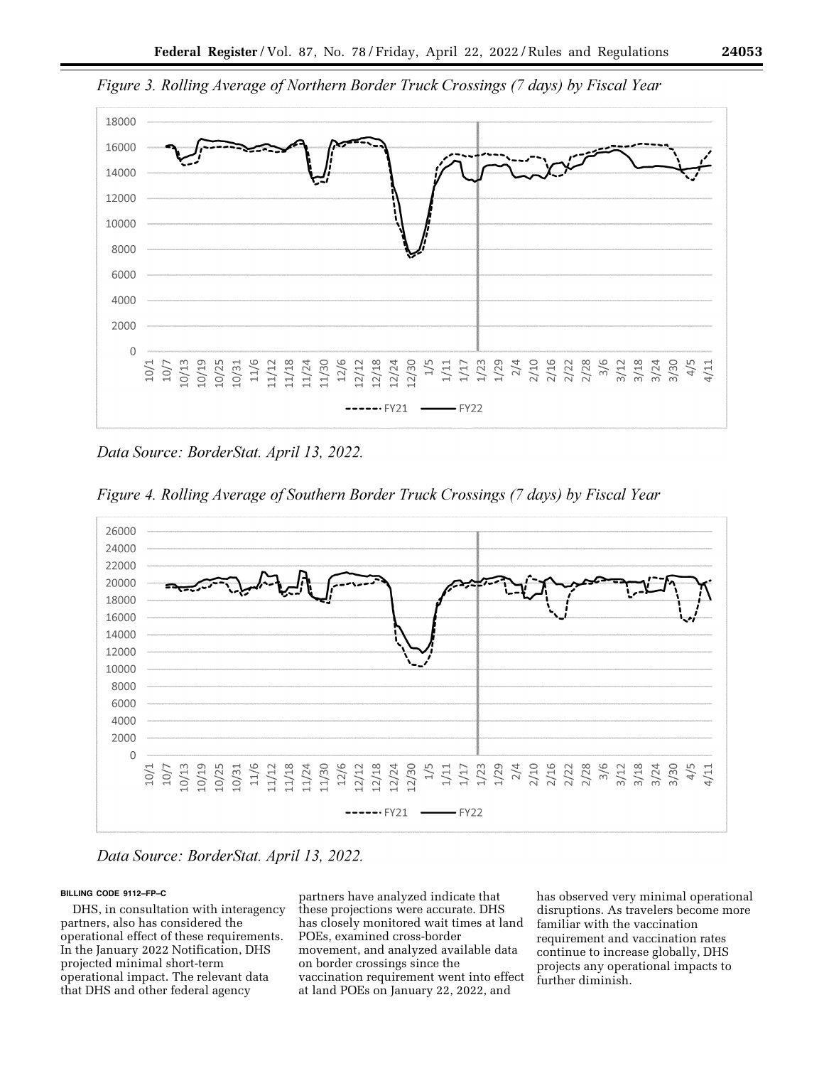

*Figure 3. Rolling Average of Northern Border Truck Crossings (7 days) by Fiscal Year* 

*Data Source: BorderStat. April 13, 2022.* 

*Figure 4. Rolling Average of Southern Border Truck Crossings (7 days) by Fiscal Year* 



*Data Source: BorderStat. April 13, 2022.* 

# **BILLING CODE 9112–FP–C**

DHS, in consultation with interagency partners, also has considered the operational effect of these requirements. In the January 2022 Notification, DHS projected minimal short-term operational impact. The relevant data that DHS and other federal agency

partners have analyzed indicate that these projections were accurate. DHS has closely monitored wait times at land POEs, examined cross-border movement, and analyzed available data on border crossings since the vaccination requirement went into effect at land POEs on January 22, 2022, and

has observed very minimal operational disruptions. As travelers become more familiar with the vaccination requirement and vaccination rates continue to increase globally, DHS projects any operational impacts to further diminish.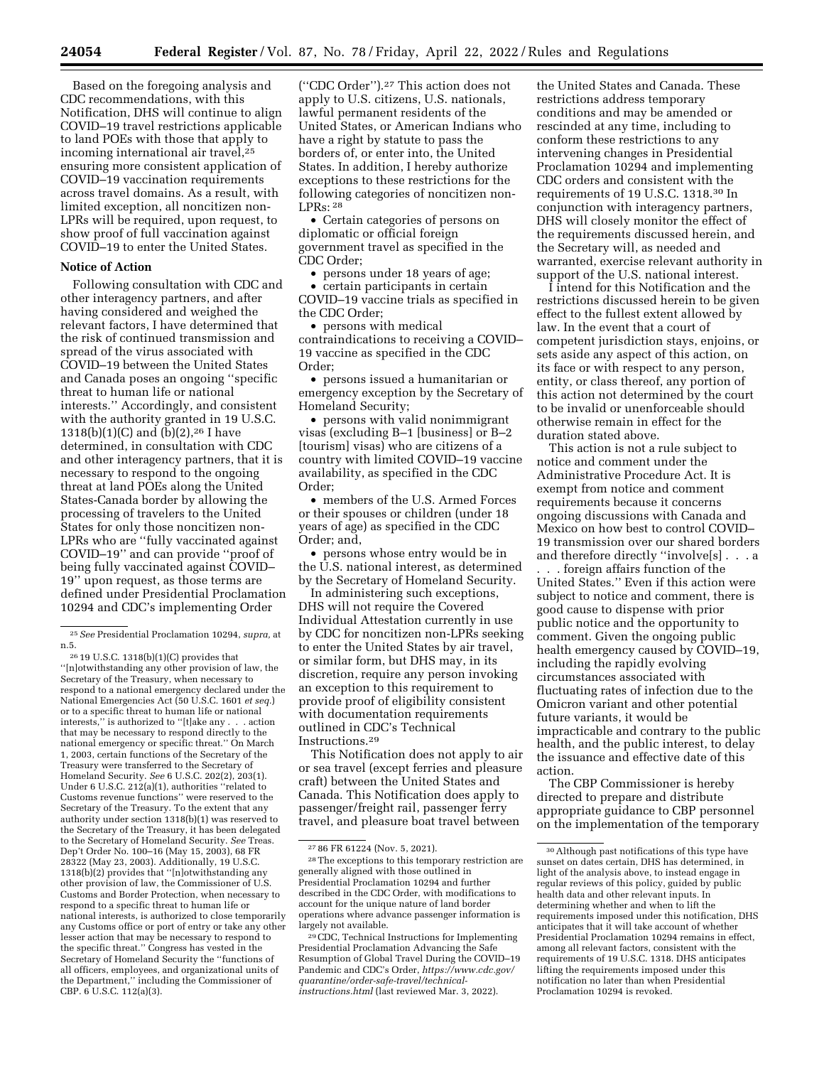Based on the foregoing analysis and CDC recommendations, with this Notification, DHS will continue to align COVID–19 travel restrictions applicable to land POEs with those that apply to incoming international air travel,25 ensuring more consistent application of COVID–19 vaccination requirements across travel domains. As a result, with limited exception, all noncitizen non-LPRs will be required, upon request, to show proof of full vaccination against COVID–19 to enter the United States.

# **Notice of Action**

Following consultation with CDC and other interagency partners, and after having considered and weighed the relevant factors, I have determined that the risk of continued transmission and spread of the virus associated with COVID–19 between the United States and Canada poses an ongoing ''specific threat to human life or national interests.'' Accordingly, and consistent with the authority granted in 19 U.S.C. 1318(b)(1)(C) and (b)(2),26 I have determined, in consultation with CDC and other interagency partners, that it is necessary to respond to the ongoing threat at land POEs along the United States-Canada border by allowing the processing of travelers to the United States for only those noncitizen non-LPRs who are ''fully vaccinated against COVID–19'' and can provide ''proof of being fully vaccinated against COVID– 19'' upon request, as those terms are defined under Presidential Proclamation 10294 and CDC's implementing Order

(''CDC Order'').27 This action does not apply to U.S. citizens, U.S. nationals, lawful permanent residents of the United States, or American Indians who have a right by statute to pass the borders of, or enter into, the United States. In addition, I hereby authorize exceptions to these restrictions for the following categories of noncitizen non-LPRs: 28

• Certain categories of persons on diplomatic or official foreign government travel as specified in the CDC Order;

• persons under 18 years of age; • certain participants in certain

COVID–19 vaccine trials as specified in the CDC Order;

• persons with medical contraindications to receiving a COVID– 19 vaccine as specified in the CDC Order;

• persons issued a humanitarian or emergency exception by the Secretary of Homeland Security;

• persons with valid nonimmigrant visas (excluding B–1 [business] or B–2 [tourism] visas) who are citizens of a country with limited COVID–19 vaccine availability, as specified in the CDC Order;

• members of the U.S. Armed Forces or their spouses or children (under 18 years of age) as specified in the CDC Order; and,

• persons whose entry would be in the U.S. national interest, as determined by the Secretary of Homeland Security.

In administering such exceptions, DHS will not require the Covered Individual Attestation currently in use by CDC for noncitizen non-LPRs seeking to enter the United States by air travel, or similar form, but DHS may, in its discretion, require any person invoking an exception to this requirement to provide proof of eligibility consistent with documentation requirements outlined in CDC's Technical Instructions.29

This Notification does not apply to air or sea travel (except ferries and pleasure craft) between the United States and Canada. This Notification does apply to passenger/freight rail, passenger ferry travel, and pleasure boat travel between

the United States and Canada. These restrictions address temporary conditions and may be amended or rescinded at any time, including to conform these restrictions to any intervening changes in Presidential Proclamation 10294 and implementing CDC orders and consistent with the requirements of 19 U.S.C. 1318.30 In conjunction with interagency partners, DHS will closely monitor the effect of the requirements discussed herein, and the Secretary will, as needed and warranted, exercise relevant authority in support of the U.S. national interest.

I intend for this Notification and the restrictions discussed herein to be given effect to the fullest extent allowed by law. In the event that a court of competent jurisdiction stays, enjoins, or sets aside any aspect of this action, on its face or with respect to any person, entity, or class thereof, any portion of this action not determined by the court to be invalid or unenforceable should otherwise remain in effect for the duration stated above.

This action is not a rule subject to notice and comment under the Administrative Procedure Act. It is exempt from notice and comment requirements because it concerns ongoing discussions with Canada and Mexico on how best to control COVID– 19 transmission over our shared borders and therefore directly ''involve[s] . . . a

. . . foreign affairs function of the United States.'' Even if this action were subject to notice and comment, there is good cause to dispense with prior public notice and the opportunity to comment. Given the ongoing public health emergency caused by COVID–19, including the rapidly evolving circumstances associated with fluctuating rates of infection due to the Omicron variant and other potential future variants, it would be impracticable and contrary to the public health, and the public interest, to delay the issuance and effective date of this action.

The CBP Commissioner is hereby directed to prepare and distribute appropriate guidance to CBP personnel on the implementation of the temporary

<sup>25</sup>*See* Presidential Proclamation 10294, *supra,* at n.5.

<sup>26</sup> 19 U.S.C. 1318(b)(1)(C) provides that ''[n]otwithstanding any other provision of law, the Secretary of the Treasury, when necessary to respond to a national emergency declared under the National Emergencies Act (50 U.S.C. 1601 *et seq.*) or to a specific threat to human life or national interests,'' is authorized to ''[t]ake any . . . action that may be necessary to respond directly to the national emergency or specific threat.'' On March 1, 2003, certain functions of the Secretary of the Treasury were transferred to the Secretary of Homeland Security. *See* 6 U.S.C. 202(2), 203(1). Under 6 U.S.C. 212(a)(1), authorities ''related to Customs revenue functions'' were reserved to the Secretary of the Treasury. To the extent that any authority under section 1318(b)(1) was reserved to the Secretary of the Treasury, it has been delegated to the Secretary of Homeland Security. *See* Treas. Dep't Order No. 100–16 (May 15, 2003), 68 FR 28322 (May 23, 2003). Additionally, 19 U.S.C. 1318(b)(2) provides that ''[n]otwithstanding any other provision of law, the Commissioner of U.S. Customs and Border Protection, when necessary to respond to a specific threat to human life or national interests, is authorized to close temporarily any Customs office or port of entry or take any other lesser action that may be necessary to respond to the specific threat.'' Congress has vested in the Secretary of Homeland Security the ''functions of all officers, employees, and organizational units of the Department,'' including the Commissioner of CBP. 6 U.S.C. 112(a)(3).

<sup>27</sup> 86 FR 61224 (Nov. 5, 2021).

<sup>28</sup>The exceptions to this temporary restriction are generally aligned with those outlined in Presidential Proclamation 10294 and further described in the CDC Order, with modifications to account for the unique nature of land border operations where advance passenger information is largely not available.

<sup>29</sup>CDC, Technical Instructions for Implementing Presidential Proclamation Advancing the Safe Resumption of Global Travel During the COVID–19 Pandemic and CDC's Order, *[https://www.cdc.gov/](https://www.cdc.gov/quarantine/order-safe-travel/technical-instructions.html) [quarantine/order-safe-travel/technical](https://www.cdc.gov/quarantine/order-safe-travel/technical-instructions.html)[instructions.html](https://www.cdc.gov/quarantine/order-safe-travel/technical-instructions.html)* (last reviewed Mar. 3, 2022).

<sup>30</sup>Although past notifications of this type have sunset on dates certain, DHS has determined, in light of the analysis above, to instead engage in regular reviews of this policy, guided by public health data and other relevant inputs. In determining whether and when to lift the requirements imposed under this notification, DHS anticipates that it will take account of whether Presidential Proclamation 10294 remains in effect, among all relevant factors, consistent with the requirements of 19 U.S.C. 1318. DHS anticipates lifting the requirements imposed under this notification no later than when Presidential Proclamation 10294 is revoked.